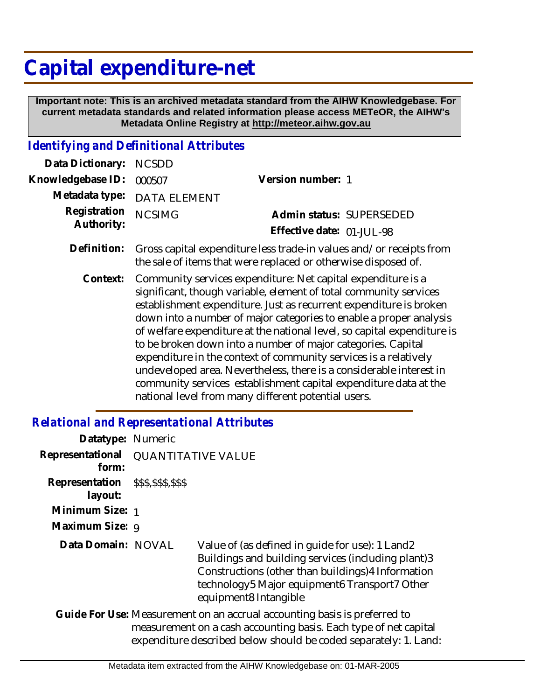## **Capital expenditure-net**

 **Important note: This is an archived metadata standard from the AIHW Knowledgebase. For current metadata standards and related information please access METeOR, the AIHW's Metadata Online Registry at http://meteor.aihw.gov.au**

## *Identifying and Definitional Attributes*

| Data Dictionary: NCSDD     |                                                                                                                                                   |                                                       |  |
|----------------------------|---------------------------------------------------------------------------------------------------------------------------------------------------|-------------------------------------------------------|--|
| Knowledgebase ID:          | 000507                                                                                                                                            | Version number: 1                                     |  |
|                            | Metadata type: DATA ELEMENT                                                                                                                       |                                                       |  |
| Registration<br>Authority: | <b>NCSIMG</b>                                                                                                                                     | Admin status: SUPERSEDED<br>Effective date: 01-JUL-98 |  |
|                            | Definition: Gross capital expenditure less trade-in values and/or receipts from<br>the sale of items that were replaced or otherwise disposed of. |                                                       |  |
| Context:                   | Community services expenditure: Net capital expenditure is a                                                                                      |                                                       |  |

Community services expenditure: Net capital expenditure is a significant, though variable, element of total community services establishment expenditure. Just as recurrent expenditure is broken down into a number of major categories to enable a proper analysis of welfare expenditure at the national level, so capital expenditure is to be broken down into a number of major categories. Capital expenditure in the context of community services is a relatively undeveloped area. Nevertheless, there is a considerable interest in community services establishment capital expenditure data at the national level from many different potential users. **Context:**

## *Relational and Representational Attributes*

| Datatype: Numeric         |                           |                                                                                                                                                                                                                                       |  |
|---------------------------|---------------------------|---------------------------------------------------------------------------------------------------------------------------------------------------------------------------------------------------------------------------------------|--|
| Representational<br>form: | <b>QUANTITATIVE VALUE</b> |                                                                                                                                                                                                                                       |  |
| Representation<br>layout: | \$\$\$,\$\$\$,\$\$\$      |                                                                                                                                                                                                                                       |  |
| Minimum Size: 1           |                           |                                                                                                                                                                                                                                       |  |
| Maximum Size: 9           |                           |                                                                                                                                                                                                                                       |  |
| Data Domain: NOVAL        |                           | Value of (as defined in guide for use): 1 Land2<br>Buildings and building services (including plant)3<br>Constructions (other than buildings) 4 Information<br>technology5 Major equipment6 Transport7 Other<br>equipment8 Intangible |  |
|                           |                           | Guide For Use: Measurement on an accrual accounting basis is preferred to<br>measurement on a cash accounting basis. Each type of net capital<br>expenditure described below should be coded separately: 1. Land:                     |  |